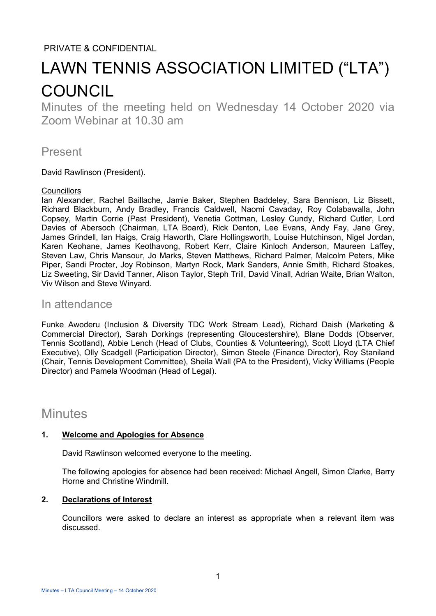### PRIVATE & CONFIDENTIAL

# LAWN TENNIS ASSOCIATION LIMITED ("LTA") **COUNCIL**

Minutes of the meeting held on Wednesday 14 October 2020 via Zoom Webinar at 10.30 am

## Present

David Rawlinson (President).

#### **Councillors**

Ian Alexander, Rachel Baillache, Jamie Baker, Stephen Baddeley, Sara Bennison, Liz Bissett, Richard Blackburn, Andy Bradley, Francis Caldwell, Naomi Cavaday, Roy Colabawalla, John Copsey, Martin Corrie (Past President), Venetia Cottman, Lesley Cundy, Richard Cutler, Lord Davies of Abersoch (Chairman, LTA Board), Rick Denton, Lee Evans, Andy Fay, Jane Grey, James Grindell, Ian Haigs, Craig Haworth, Clare Hollingsworth, Louise Hutchinson, Nigel Jordan, Karen Keohane, James Keothavong, Robert Kerr, Claire Kinloch Anderson, Maureen Laffey, Steven Law, Chris Mansour, Jo Marks, Steven Matthews, Richard Palmer, Malcolm Peters, Mike Piper, Sandi Procter, Joy Robinson, Martyn Rock, Mark Sanders, Annie Smith, Richard Stoakes, Liz Sweeting, Sir David Tanner, Alison Taylor, Steph Trill, David Vinall, Adrian Waite, Brian Walton, Viv Wilson and Steve Winyard.

## In attendance

Funke Awoderu (Inclusion & Diversity TDC Work Stream Lead), Richard Daish (Marketing & Commercial Director), Sarah Dorkings (representing Gloucestershire), Blane Dodds (Observer, Tennis Scotland), Abbie Lench (Head of Clubs, Counties & Volunteering), Scott Lloyd (LTA Chief Executive), Olly Scadgell (Participation Director), Simon Steele (Finance Director), Roy Staniland (Chair, Tennis Development Committee), Sheila Wall (PA to the President), Vicky Williams (People Director) and Pamela Woodman (Head of Legal).

## **Minutes**

#### **1. Welcome and Apologies for Absence**

David Rawlinson welcomed everyone to the meeting.

The following apologies for absence had been received: Michael Angell, Simon Clarke, Barry Horne and Christine Windmill.

#### **2. Declarations of Interest**

Councillors were asked to declare an interest as appropriate when a relevant item was discussed.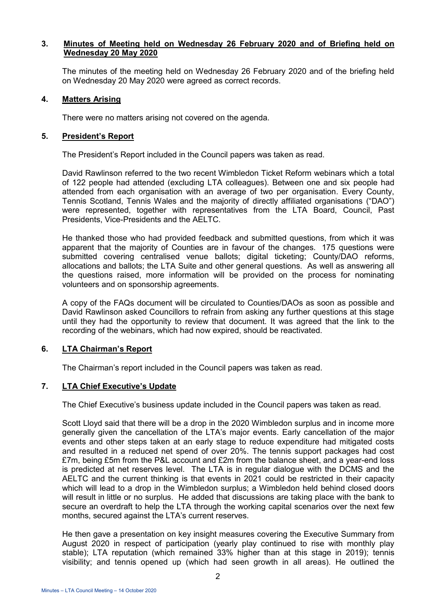#### **3. Minutes of Meeting held on Wednesday 26 February 2020 and of Briefing held on Wednesday 20 May 2020**

The minutes of the meeting held on Wednesday 26 February 2020 and of the briefing held on Wednesday 20 May 2020 were agreed as correct records.

#### **4. Matters Arising**

There were no matters arising not covered on the agenda.

#### **5. President's Report**

The President's Report included in the Council papers was taken as read.

David Rawlinson referred to the two recent Wimbledon Ticket Reform webinars which a total of 122 people had attended (excluding LTA colleagues). Between one and six people had attended from each organisation with an average of two per organisation. Every County, Tennis Scotland, Tennis Wales and the majority of directly affiliated organisations ("DAO") were represented, together with representatives from the LTA Board, Council, Past Presidents, Vice-Presidents and the AELTC.

He thanked those who had provided feedback and submitted questions, from which it was apparent that the majority of Counties are in favour of the changes. 175 questions were submitted covering centralised venue ballots; digital ticketing; County/DAO reforms, allocations and ballots; the LTA Suite and other general questions. As well as answering all the questions raised, more information will be provided on the process for nominating volunteers and on sponsorship agreements.

A copy of the FAQs document will be circulated to Counties/DAOs as soon as possible and David Rawlinson asked Councillors to refrain from asking any further questions at this stage until they had the opportunity to review that document. It was agreed that the link to the recording of the webinars, which had now expired, should be reactivated.

#### **6. LTA Chairman's Report**

The Chairman's report included in the Council papers was taken as read.

#### **7. LTA Chief Executive's Update**

The Chief Executive's business update included in the Council papers was taken as read.

Scott Lloyd said that there will be a drop in the 2020 Wimbledon surplus and in income more generally given the cancellation of the LTA's major events. Early cancellation of the major events and other steps taken at an early stage to reduce expenditure had mitigated costs and resulted in a reduced net spend of over 20%. The tennis support packages had cost £7m, being £5m from the P&L account and £2m from the balance sheet, and a year-end loss is predicted at net reserves level. The LTA is in regular dialogue with the DCMS and the AELTC and the current thinking is that events in 2021 could be restricted in their capacity which will lead to a drop in the Wimbledon surplus; a Wimbledon held behind closed doors will result in little or no surplus. He added that discussions are taking place with the bank to secure an overdraft to help the LTA through the working capital scenarios over the next few months, secured against the LTA's current reserves.

He then gave a presentation on key insight measures covering the Executive Summary from August 2020 in respect of participation (yearly play continued to rise with monthly play stable); LTA reputation (which remained 33% higher than at this stage in 2019); tennis visibility; and tennis opened up (which had seen growth in all areas). He outlined the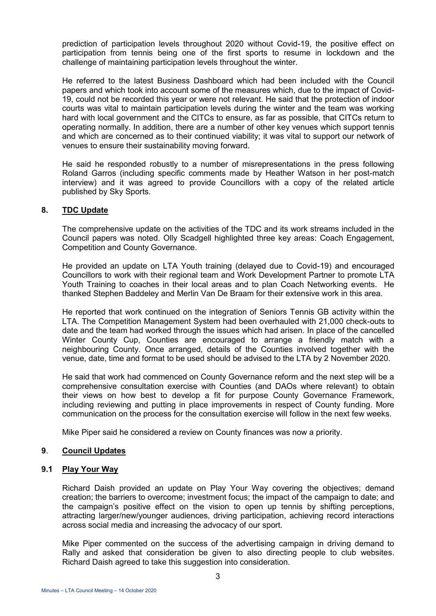prediction of participation levels throughout 2020 without Covid-19, the positive effect on participation from tennis being one of the first sports to resume in lockdown and the challenge of maintaining participation levels throughout the winter.

He referred to the latest Business Dashboard which had been included with the Council papers and which took into account some of the measures which, due to the impact of Covid-19, could not be recorded this year or were not relevant. He said that the protection of indoor courts was vital to maintain participation levels during the winter and the team was working hard with local government and the CITCs to ensure, as far as possible, that CITCs return to operating normally. In addition, there are a number of other key venues which support tennis and which are concerned as to their continued viability; it was vital to support our network of venues to ensure their sustainability moving forward.

He said he responded robustly to a number of misrepresentations in the press following Roland Garros (including specific comments made by Heather Watson in her post-match interview) and it was agreed to provide Councillors with a copy of the related article published by Sky Sports.

#### **8. TDC Update**

The comprehensive update on the activities of the TDC and its work streams included in the Council papers was noted. Olly Scadgell highlighted three key areas: Coach Engagement, Competition and County Governance.

He provided an update on LTA Youth training (delayed due to Covid-19) and encouraged Councillors to work with their regional team and Work Development Partner to promote LTA Youth Training to coaches in their local areas and to plan Coach Networking events. He thanked Stephen Baddeley and Merlin Van De Braam for their extensive work in this area.

He reported that work continued on the integration of Seniors Tennis GB activity within the LTA. The Competition Management System had been overhauled with 21,000 check-outs to date and the team had worked through the issues which had arisen. In place of the cancelled Winter County Cup, Counties are encouraged to arrange a friendly match with a neighbouring County. Once arranged, details of the Counties involved together with the venue, date, time and format to be used should be advised to the LTA by 2 November 2020.

He said that work had commenced on County Governance reform and the next step will be a comprehensive consultation exercise with Counties (and DAOs where relevant) to obtain their views on how best to develop a fit for purpose County Governance Framework, including reviewing and putting in place improvements in respect of County funding. More communication on the process for the consultation exercise will follow in the next few weeks.

Mike Piper said he considered a review on County finances was now a priority.

#### **9**. **Council Updates**

#### **9.1 Play Your Way**

Richard Daish provided an update on Play Your Way covering the objectives; demand creation; the barriers to overcome; investment focus; the impact of the campaign to date; and the campaign's positive effect on the vision to open up tennis by shifting perceptions, attracting larger/new/younger audiences, driving participation, achieving record interactions across social media and increasing the advocacy of our sport.

Mike Piper commented on the success of the advertising campaign in driving demand to Rally and asked that consideration be given to also directing people to club websites. Richard Daish agreed to take this suggestion into consideration.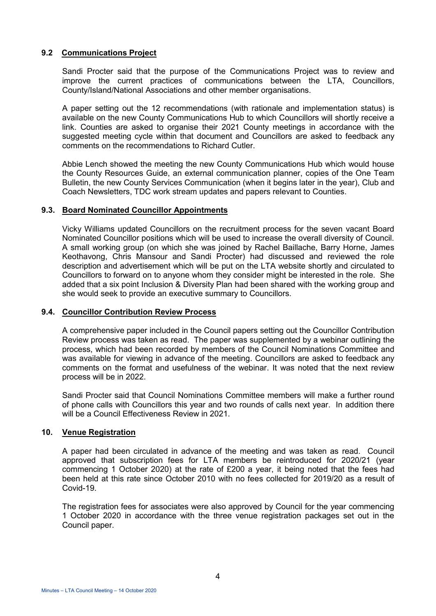#### **9.2 Communications Project**

Sandi Procter said that the purpose of the Communications Project was to review and improve the current practices of communications between the LTA, Councillors, County/Island/National Associations and other member organisations.

A paper setting out the 12 recommendations (with rationale and implementation status) is available on the new County Communications Hub to which Councillors will shortly receive a link. Counties are asked to organise their 2021 County meetings in accordance with the suggested meeting cycle within that document and Councillors are asked to feedback any comments on the recommendations to Richard Cutler.

Abbie Lench showed the meeting the new County Communications Hub which would house the County Resources Guide, an external communication planner, copies of the One Team Bulletin, the new County Services Communication (when it begins later in the year), Club and Coach Newsletters, TDC work stream updates and papers relevant to Counties.

#### **9.3. Board Nominated Councillor Appointments**

Vicky Williams updated Councillors on the recruitment process for the seven vacant Board Nominated Councillor positions which will be used to increase the overall diversity of Council. A small working group (on which she was joined by Rachel Baillache, Barry Horne, James Keothavong, Chris Mansour and Sandi Procter) had discussed and reviewed the role description and advertisement which will be put on the LTA website shortly and circulated to Councillors to forward on to anyone whom they consider might be interested in the role. She added that a six point Inclusion & Diversity Plan had been shared with the working group and she would seek to provide an executive summary to Councillors.

#### **9.4. Councillor Contribution Review Process**

A comprehensive paper included in the Council papers setting out the Councillor Contribution Review process was taken as read. The paper was supplemented by a webinar outlining the process, which had been recorded by members of the Council Nominations Committee and was available for viewing in advance of the meeting. Councillors are asked to feedback any comments on the format and usefulness of the webinar. It was noted that the next review process will be in 2022.

Sandi Procter said that Council Nominations Committee members will make a further round of phone calls with Councillors this year and two rounds of calls next year. In addition there will be a Council Effectiveness Review in 2021.

#### **10. Venue Registration**

 A paper had been circulated in advance of the meeting and was taken as read. Council approved that subscription fees for LTA members be reintroduced for 2020/21 (year commencing 1 October 2020) at the rate of £200 a year, it being noted that the fees had been held at this rate since October 2010 with no fees collected for 2019/20 as a result of Covid-19.

 The registration fees for associates were also approved by Council for the year commencing 1 October 2020 in accordance with the three venue registration packages set out in the Council paper.